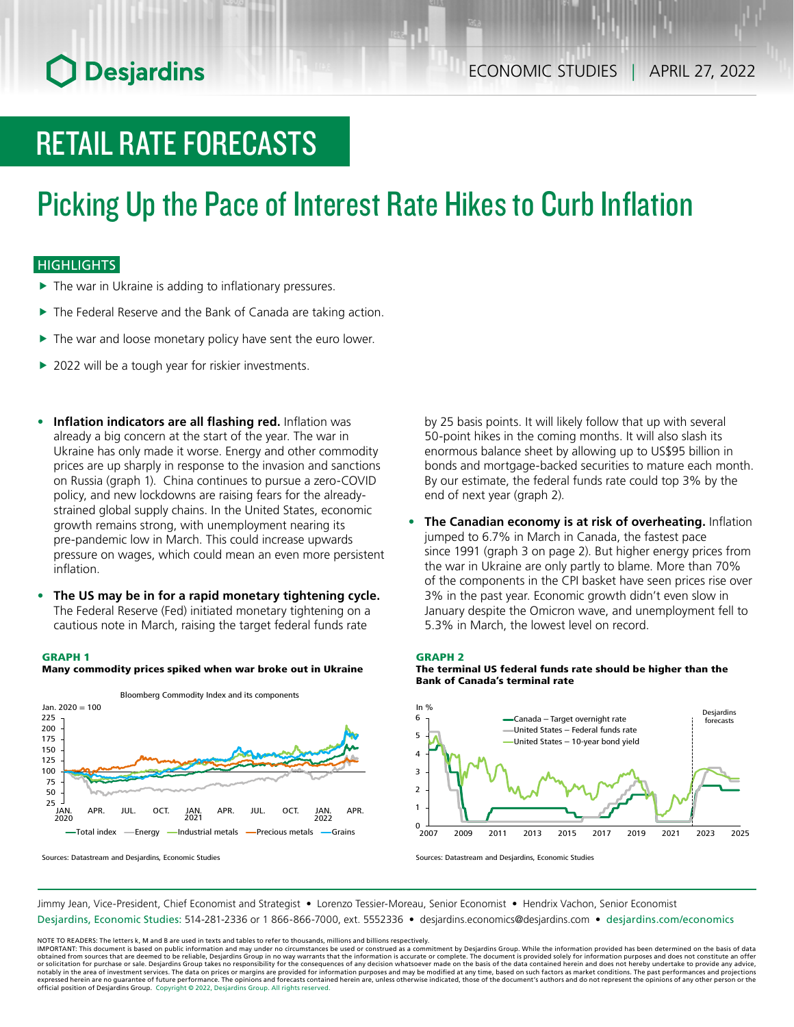# **O** Desjardins

# RETAIL RATE FORECASTS

# Picking Up the Pace of Interest Rate Hikes to Curb Inflation

### **HIGHLIGHTS**

- $\blacktriangleright$  The war in Ukraine is adding to inflationary pressures.
- $\blacktriangleright$  The Federal Reserve and the Bank of Canada are taking action.
- $\blacktriangleright$  The war and loose monetary policy have sent the euro lower.
- $\blacktriangleright$  2022 will be a tough year for riskier investments.
- **• Inflation indicators are all flashing red.** Inflation was already a big concern at the start of the year. The war in Ukraine has only made it worse. Energy and other commodity prices are up sharply in response to the invasion and sanctions on Russia (graph 1). China continues to pursue a zero-COVID policy, and new lockdowns are raising fears for the alreadystrained global supply chains. In the United States, economic growth remains strong, with unemployment nearing its pre-pandemic low in March. This could increase upwards pressure on wages, which could mean an even more persistent inflation.
- **• The US may be in for a rapid monetary tightening cycle.** The Federal Reserve (Fed) initiated monetary tightening on a cautious note in March, raising the target federal funds rate

#### GRAPH 1



Many commodity prices spiked when war broke out in Ukraine

Sources: Datastream and Desjardins, Economic Studies

by 25 basis points. It will likely follow that up with several 50-point hikes in the coming months. It will also slash its enormous balance sheet by allowing up to US\$95 billion in bonds and mortgage-backed securities to mature each month. By our estimate, the federal funds rate could top 3% by the end of next year (graph 2).

**• The Canadian economy is at risk of overheating.** Inflation jumped to 6.7% in March in Canada, the fastest pace since 1991 (graph 3 on page 2). But higher energy prices from the war in Ukraine are only partly to blame. More than 70% of the components in the CPI basket have seen prices rise over 3% in the past year. Economic growth didn't even slow in January despite the Omicron wave, and unemployment fell to 5.3% in March, the lowest level on record.



The terminal US federal funds rate should be higher than the Bank of Canada's terminal rate



Sources: Datastream and Desjardins, Economic Studies

Jimmy Jean, Vice-President, Chief Economist and Strategist • Lorenzo Tessier-Moreau, Senior Economist • Hendrix Vachon, Senior Economist Desjardins, Economic Studies: 514-281-2336 or 1 866-866-7000, ext. 5552336 • desjardins.economics@desjardins.com • [desjardins.com/economics](http://desjardins.com/economics)

NOTE TO READERS: The letters k, M and B are used in texts and tables to refer to thousands, millions and billions respectively.<br>IMPORTANT: This document is based on public information and may under no circumstances be used obtained from sources that are deemed to be reliable, Desjardins Group in no way warrants that the information is accurate or complete. The document is provided solely for information purposes and does not constitute an of expressed herein are no guarantee of future performance. The opinions and forecasts contained herein are, unless otherwise indicated, those of the document's authors and do not represent the opinions of any other person or official position of Desjardins Group. Copyright © 2022, Desjardins Group. All rights reserved.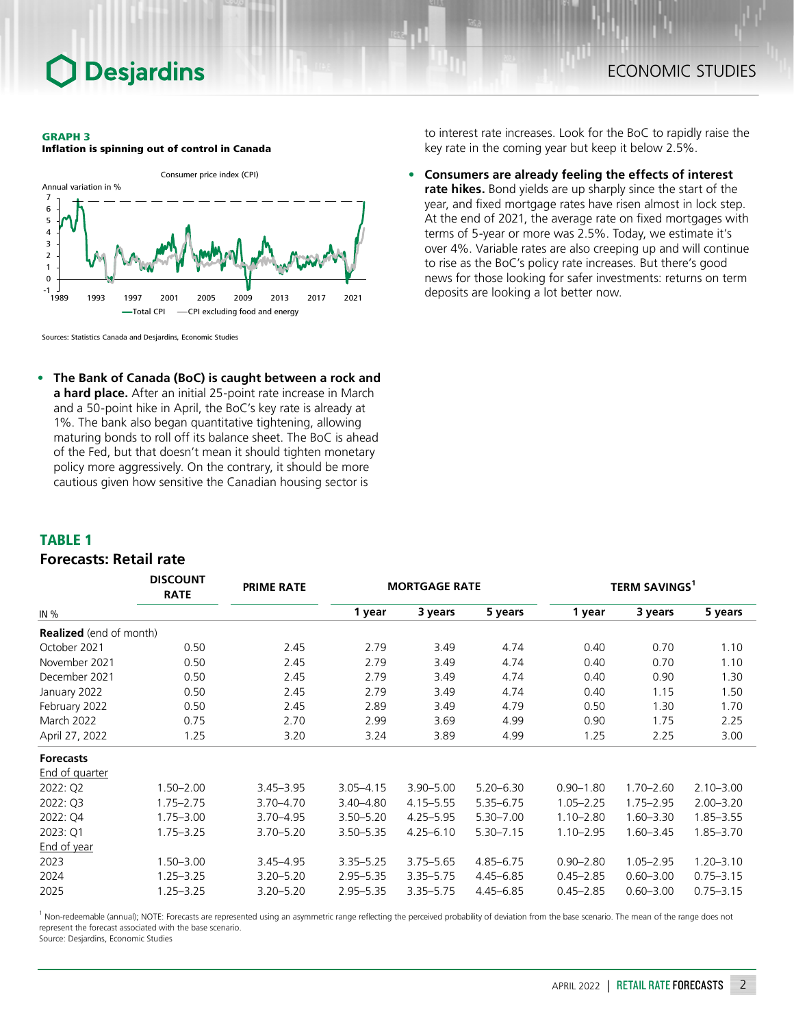## **Desjardins**

#### GRAPH 3

Inflation is spinning out of control in Canada



Sources: Statistics Canada and Desjardins, Economic Studies

**• The Bank of Canada (BoC) is caught between a rock and a hard place.** After an initial 25-point rate increase in March and a 50‑point hike in April, the BoC's key rate is already at 1%. The bank also began quantitative tightening, allowing maturing bonds to roll off its balance sheet. The BoC is ahead of the Fed, but that doesn't mean it should tighten monetary policy more aggressively. On the contrary, it should be more cautious given how sensitive the Canadian housing sector is

*DISCOUNT* 

to interest rate increases. Look for the BoC to rapidly raise the key rate in the coming year but keep it below 2.5%.

**• Consumers are already feeling the effects of interest rate hikes.** Bond yields are up sharply since the start of the year, and fixed mortgage rates have risen almost in lock step. At the end of 2021, the average rate on fixed mortgages with terms of 5‑year or more was 2.5%. Today, we estimate it's over 4%. Variable rates are also creeping up and will continue to rise as the BoC's policy rate increases. But there's good news for those looking for safer investments: returns on term deposits are looking a lot better now.

### TABLE 1

### *Forecasts: Retail rate*

|                                | <b>DISCOUNT</b><br><b>RATE</b> | <b>PRIME RATE</b> | <b>MORTGAGE RATE</b> |               |               | <b>TERM SAVINGS<sup>1</sup></b> |               |               |
|--------------------------------|--------------------------------|-------------------|----------------------|---------------|---------------|---------------------------------|---------------|---------------|
| IN $%$                         |                                |                   | 1 year               | 3 years       | 5 years       | 1 year                          | 3 years       | 5 years       |
| <b>Realized</b> (end of month) |                                |                   |                      |               |               |                                 |               |               |
| October 2021                   | 0.50                           | 2.45              | 2.79                 | 3.49          | 4.74          | 0.40                            | 0.70          | 1.10          |
| November 2021                  | 0.50                           | 2.45              | 2.79                 | 3.49          | 4.74          | 0.40                            | 0.70          | 1.10          |
| December 2021                  | 0.50                           | 2.45              | 2.79                 | 3.49          | 4.74          | 0.40                            | 0.90          | 1.30          |
| January 2022                   | 0.50                           | 2.45              | 2.79                 | 3.49          | 4.74          | 0.40                            | 1.15          | 1.50          |
| February 2022                  | 0.50                           | 2.45              | 2.89                 | 3.49          | 4.79          | 0.50                            | 1.30          | 1.70          |
| March 2022                     | 0.75                           | 2.70              | 2.99                 | 3.69          | 4.99          | 0.90                            | 1.75          | 2.25          |
| April 27, 2022                 | 1.25                           | 3.20              | 3.24                 | 3.89          | 4.99          | 1.25                            | 2.25          | 3.00          |
| <b>Forecasts</b>               |                                |                   |                      |               |               |                                 |               |               |
| <b>End of quarter</b>          |                                |                   |                      |               |               |                                 |               |               |
| 2022: Q2                       | $1.50 - 2.00$                  | $3.45 - 3.95$     | $3.05 - 4.15$        | $3.90 - 5.00$ | $5.20 - 6.30$ | $0.90 - 1.80$                   | $1.70 - 2.60$ | $2.10 - 3.00$ |
| 2022: Q3                       | $1.75 - 2.75$                  | 3.70-4.70         | $3.40 - 4.80$        | $4.15 - 5.55$ | $5.35 - 6.75$ | $1.05 - 2.25$                   | $1.75 - 2.95$ | $2.00 - 3.20$ |
| 2022: Q4                       | $1.75 - 3.00$                  | $3.70 - 4.95$     | $3.50 - 5.20$        | $4.25 - 5.95$ | $5.30 - 7.00$ | $1.10 - 2.80$                   | $1.60 - 3.30$ | $1.85 - 3.55$ |
| 2023: Q1                       | $1.75 - 3.25$                  | $3.70 - 5.20$     | $3.50 - 5.35$        | $4.25 - 6.10$ | $5.30 - 7.15$ | $1.10 - 2.95$                   | $1.60 - 3.45$ | 1.85-3.70     |
| End of year                    |                                |                   |                      |               |               |                                 |               |               |
| 2023                           | $1.50 - 3.00$                  | $3.45 - 4.95$     | $3.35 - 5.25$        | $3.75 - 5.65$ | $4.85 - 6.75$ | $0.90 - 2.80$                   | $1.05 - 2.95$ | $1.20 - 3.10$ |
| 2024                           | $1.25 - 3.25$                  | $3.20 - 5.20$     | $2.95 - 5.35$        | $3.35 - 5.75$ | $4.45 - 6.85$ | $0.45 - 2.85$                   | $0.60 - 3.00$ | $0.75 - 3.15$ |
| 2025                           | $1.25 - 3.25$                  | $3.20 - 5.20$     | $2.95 - 5.35$        | $3.35 - 5.75$ | $4.45 - 6.85$ | $0.45 - 2.85$                   | $0.60 - 3.00$ | $0.75 - 3.15$ |

<sup>1</sup> Non-redeemable (annual); NOTE: Forecasts are represented using an asymmetric range reflecting the perceived probability of deviation from the base scenario. The mean of the range does not represent the forecast associated with the base scenario.

Source: Desjardins, Economic Studies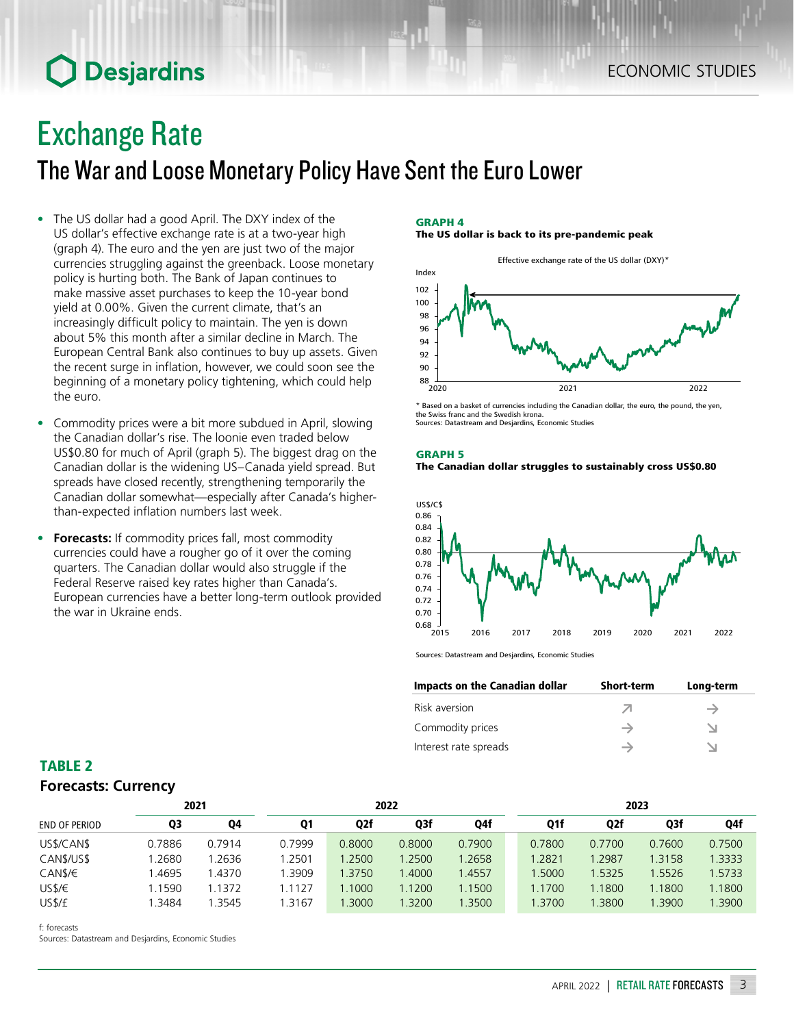## **O** Desjardins

## Exchange Rate

The War and Loose Monetary Policy Have Sent the Euro Lower

- The US dollar had a good April. The DXY index of the US dollar's effective exchange rate is at a two-year high (graph 4). The euro and the yen are just two of the major currencies struggling against the greenback. Loose monetary policy is hurting both. The Bank of Japan continues to make massive asset purchases to keep the 10‑year bond yield at 0.00%. Given the current climate, that's an increasingly difficult policy to maintain. The yen is down about 5% this month after a similar decline in March. The European Central Bank also continues to buy up assets. Given the recent surge in inflation, however, we could soon see the beginning of a monetary policy tightening, which could help the euro.
- Commodity prices were a bit more subdued in April, slowing the Canadian dollar's rise. The loonie even traded below US\$0.80 for much of April (graph 5). The biggest drag on the Canadian dollar is the widening US–Canada yield spread. But spreads have closed recently, strengthening temporarily the Canadian dollar somewhat—especially after Canada's higherthan-expected inflation numbers last week.
- **• Forecasts:** If commodity prices fall, most commodity currencies could have a rougher go of it over the coming quarters. The Canadian dollar would also struggle if the Federal Reserve raised key rates higher than Canada's. European currencies have a better long-term outlook provided the war in Ukraine ends.

#### GRAPH 4

The US dollar is back to its pre-pandemic peak



\* Based on a basket of currencies including the Canadian dollar, the euro, the pound, the yen, the Swiss franc and the Swedish krona. Sources: Datastream and Desjardins, Economic Studies

## GRAPH 5





Sources: Datastream and Desjardins, Economic Studies

| Impacts on the Canadian dollar | <b>Short-term</b> | Long-term |
|--------------------------------|-------------------|-----------|
| Risk aversion                  |                   |           |
| Commodity prices               |                   |           |
| Interest rate spreads          |                   |           |

## TABLE 2 *Forecasts: Currency*

| 2021                 |        |        | 2022   |        |        |        | 2023   |                  |        |        |
|----------------------|--------|--------|--------|--------|--------|--------|--------|------------------|--------|--------|
| <b>END OF PERIOD</b> | Q3     | Q4     | Q1     | Q2f    | Q3f    | Q4f    | Q1f    | Q <sub>2</sub> f | Q3f    | Q4f    |
| US\$/CAN\$           | 0.7886 | 0.7914 | 0.7999 | 0.8000 | 0.8000 | 0.7900 | 0.7800 | 0.7700           | 0.7600 | 0.7500 |
| CANS/USS             | .2680  | .2636  | 1.2501 | .2500  | 1.2500 | 1.2658 | 1.2821 | .2987            | 1.3158 | 1.3333 |
| CANS/E               | .4695  | 1.4370 | .3909  | .3750  | .4000  | 1.4557 | 1.5000 | 1.5325           | 1.5526 | 1.5733 |
| USS/E                | .1590  | 1.1372 | 1.1127 | .1000  | 1.1200 | 1.1500 | 1.1700 | .1800            | 1.1800 | 1.1800 |
| US\$/£               | .3484  | .3545  | .3167  | 1.3000 | .3200  | 1.3500 | 1.3700 | .3800            | 1.3900 | .3900  |

f: forecasts

Sources: Datastream and Desjardins, Economic Studies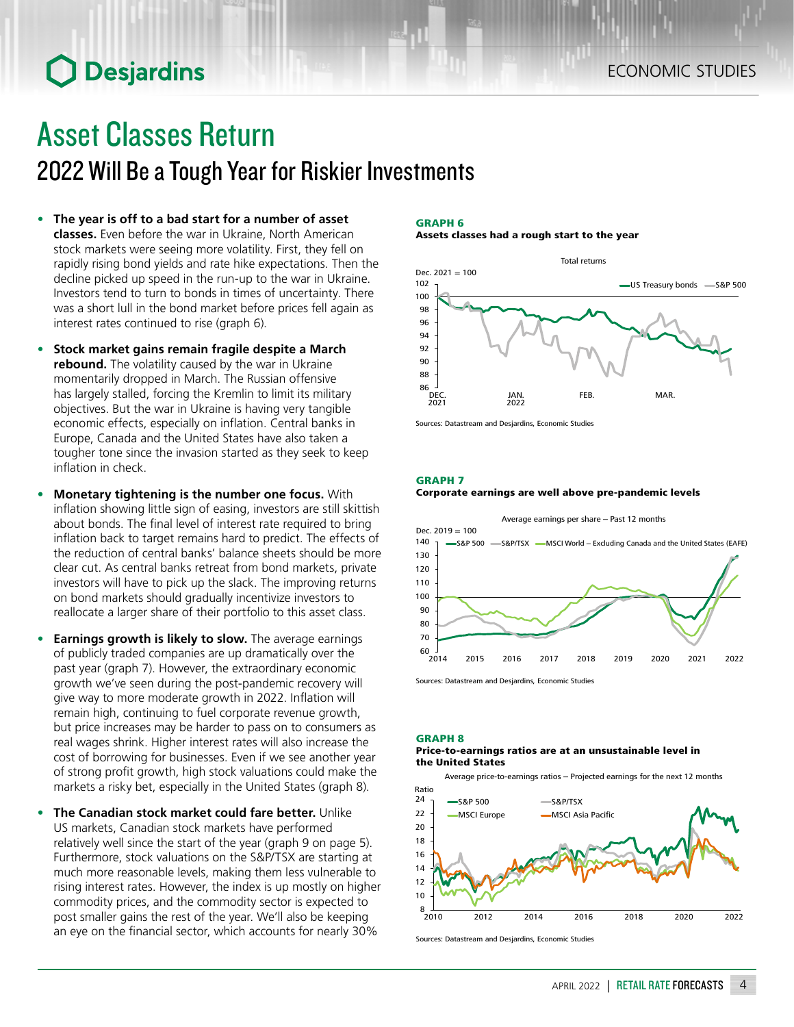# **O** Desjardins

## Asset Classes Return 2022 Will Be a Tough Year for Riskier Investments

- **• The year is off to a bad start for a number of asset classes.** Even before the war in Ukraine, North American stock markets were seeing more volatility. First, they fell on rapidly rising bond yields and rate hike expectations. Then the decline picked up speed in the run-up to the war in Ukraine. Investors tend to turn to bonds in times of uncertainty. There was a short lull in the bond market before prices fell again as interest rates continued to rise (graph 6).
- **• Stock market gains remain fragile despite a March rebound.** The volatility caused by the war in Ukraine momentarily dropped in March. The Russian offensive has largely stalled, forcing the Kremlin to limit its military objectives. But the war in Ukraine is having very tangible economic effects, especially on inflation. Central banks in Europe, Canada and the United States have also taken a tougher tone since the invasion started as they seek to keep inflation in check.
- **• Monetary tightening is the number one focus.** With inflation showing little sign of easing, investors are still skittish about bonds. The final level of interest rate required to bring inflation back to target remains hard to predict. The effects of the reduction of central banks' balance sheets should be more clear cut. As central banks retreat from bond markets, private investors will have to pick up the slack. The improving returns on bond markets should gradually incentivize investors to reallocate a larger share of their portfolio to this asset class.
- **• Earnings growth is likely to slow.** The average earnings of publicly traded companies are up dramatically over the past year (graph 7). However, the extraordinary economic growth we've seen during the post-pandemic recovery will give way to more moderate growth in 2022. Inflation will remain high, continuing to fuel corporate revenue growth, but price increases may be harder to pass on to consumers as real wages shrink. Higher interest rates will also increase the cost of borrowing for businesses. Even if we see another year of strong profit growth, high stock valuations could make the markets a risky bet, especially in the United States (graph 8).
- **• The Canadian stock market could fare better.** Unlike US markets, Canadian stock markets have performed relatively well since the start of the year (graph 9 on page 5). Furthermore, stock valuations on the S&P/TSX are starting at much more reasonable levels, making them less vulnerable to rising interest rates. However, the index is up mostly on higher commodity prices, and the commodity sector is expected to post smaller gains the rest of the year. We'll also be keeping an eye on the financial sector, which accounts for nearly 30%

#### GRAPH 6

Assets classes had a rough start to the year



Sources: Datastream and Desjardins, Economic Studies

GRAPH 7

#### Corporate earnings are well above pre-pandemic levels



Sources: Datastream and Desjardins, Economic Studies



#### Price-to-earnings ratios are at an unsustainable level in the United States

Average price-to-earnings ratios – Projected earnings for the next 12 months



Sources: Datastream and Desjardins, Economic Studies